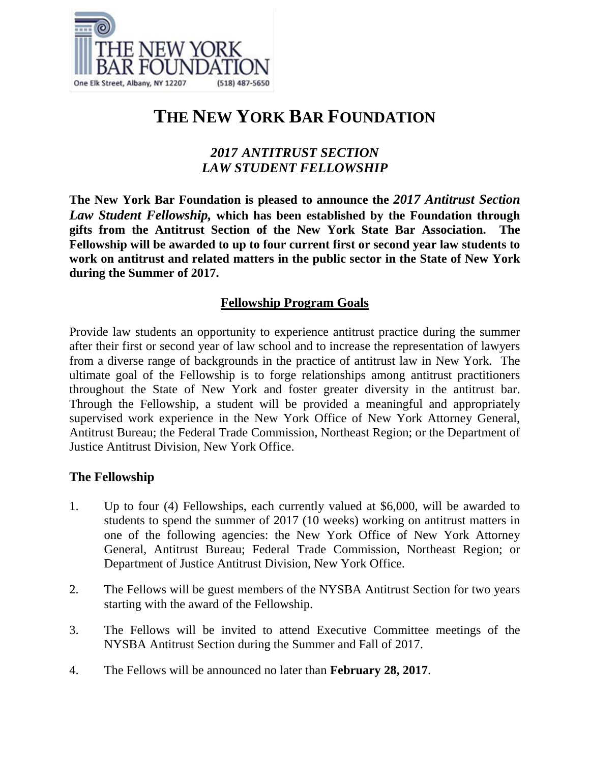

# **THE NEW YORK BAR FOUNDATION**

## *2017 ANTITRUST SECTION LAW STUDENT FELLOWSHIP*

**The New York Bar Foundation is pleased to announce the** *2017 Antitrust Section Law Student Fellowship,* **which has been established by the Foundation through gifts from the Antitrust Section of the New York State Bar Association. The Fellowship will be awarded to up to four current first or second year law students to work on antitrust and related matters in the public sector in the State of New York during the Summer of 2017.**

### **Fellowship Program Goals**

Provide law students an opportunity to experience antitrust practice during the summer after their first or second year of law school and to increase the representation of lawyers from a diverse range of backgrounds in the practice of antitrust law in New York. The ultimate goal of the Fellowship is to forge relationships among antitrust practitioners throughout the State of New York and foster greater diversity in the antitrust bar. Through the Fellowship, a student will be provided a meaningful and appropriately supervised work experience in the New York Office of New York Attorney General, Antitrust Bureau; the Federal Trade Commission, Northeast Region; or the Department of Justice Antitrust Division, New York Office.

## **The Fellowship**

- 1. Up to four (4) Fellowships, each currently valued at \$6,000, will be awarded to students to spend the summer of 2017 (10 weeks) working on antitrust matters in one of the following agencies: the New York Office of New York Attorney General, Antitrust Bureau; Federal Trade Commission, Northeast Region; or Department of Justice Antitrust Division, New York Office.
- 2. The Fellows will be guest members of the NYSBA Antitrust Section for two years starting with the award of the Fellowship.
- 3. The Fellows will be invited to attend Executive Committee meetings of the NYSBA Antitrust Section during the Summer and Fall of 2017.
- 4. The Fellows will be announced no later than **February 28, 2017**.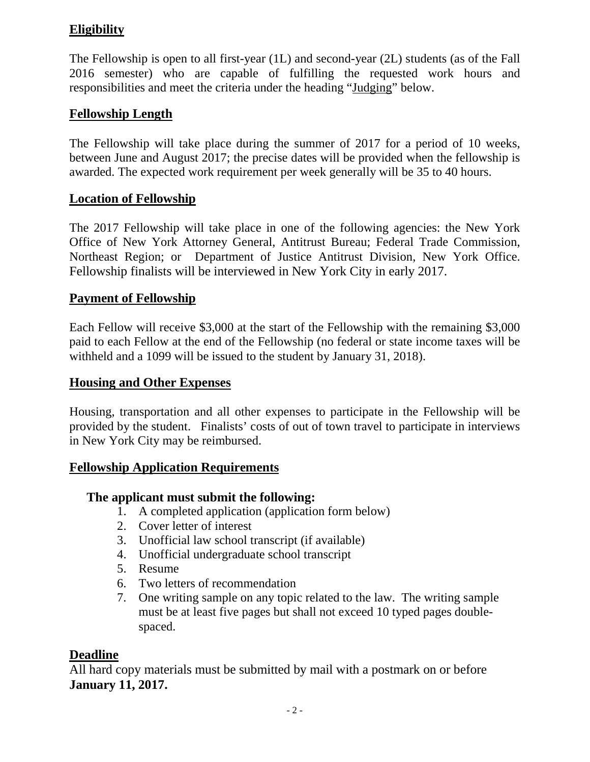## **Eligibility**

The Fellowship is open to all first-year (1L) and second-year (2L) students (as of the Fall 2016 semester) who are capable of fulfilling the requested work hours and responsibilities and meet the criteria under the heading "Judging" below.

## **Fellowship Length**

The Fellowship will take place during the summer of 2017 for a period of 10 weeks, between June and August 2017; the precise dates will be provided when the fellowship is awarded. The expected work requirement per week generally will be 35 to 40 hours.

## **Location of Fellowship**

The 2017 Fellowship will take place in one of the following agencies: the New York Office of New York Attorney General, Antitrust Bureau; Federal Trade Commission, Northeast Region; or Department of Justice Antitrust Division, New York Office. Fellowship finalists will be interviewed in New York City in early 2017.

## **Payment of Fellowship**

Each Fellow will receive \$3,000 at the start of the Fellowship with the remaining \$3,000 paid to each Fellow at the end of the Fellowship (no federal or state income taxes will be withheld and a 1099 will be issued to the student by January 31, 2018).

#### **Housing and Other Expenses**

Housing, transportation and all other expenses to participate in the Fellowship will be provided by the student. Finalists' costs of out of town travel to participate in interviews in New York City may be reimbursed.

#### **Fellowship Application Requirements**

#### **The applicant must submit the following:**

- 1. A completed application (application form below)
- 2. Cover letter of interest
- 3. Unofficial law school transcript (if available)
- 4. Unofficial undergraduate school transcript
- 5. Resume
- 6. Two letters of recommendation
- 7. One writing sample on any topic related to the law. The writing sample must be at least five pages but shall not exceed 10 typed pages doublespaced.

#### **Deadline**

All hard copy materials must be submitted by mail with a postmark on or before **January 11, 2017.**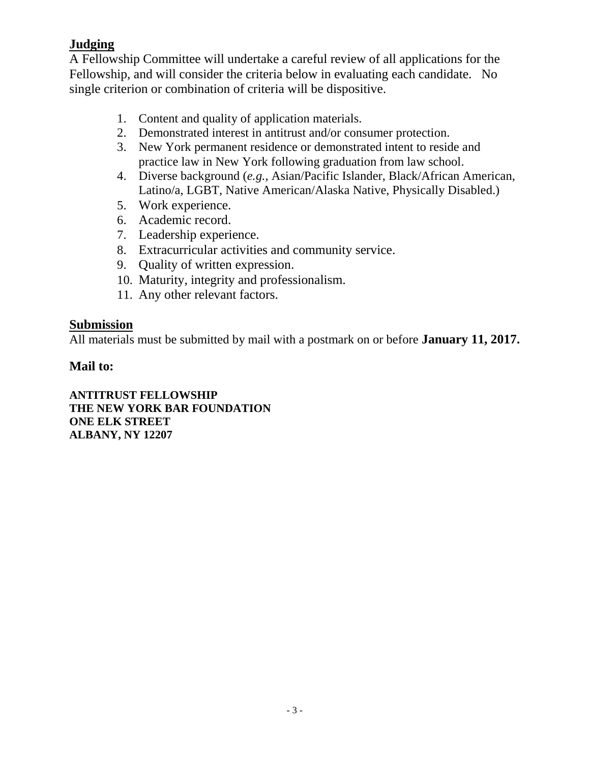## **Judging**

A Fellowship Committee will undertake a careful review of all applications for the Fellowship, and will consider the criteria below in evaluating each candidate. No single criterion or combination of criteria will be dispositive.

- 1. Content and quality of application materials.
- 2. Demonstrated interest in antitrust and/or consumer protection.
- 3. New York permanent residence or demonstrated intent to reside and practice law in New York following graduation from law school.
- 4. Diverse background (*e.g.*, Asian/Pacific Islander, Black/African American, Latino/a, LGBT, Native American/Alaska Native, Physically Disabled.)
- 5. Work experience.
- 6. Academic record.
- 7. Leadership experience.
- 8. Extracurricular activities and community service.
- 9. Quality of written expression.
- 10. Maturity, integrity and professionalism.
- 11. Any other relevant factors.

#### **Submission**

All materials must be submitted by mail with a postmark on or before **January 11, 2017.**

#### **Mail to:**

**ANTITRUST FELLOWSHIP THE NEW YORK BAR FOUNDATION ONE ELK STREET ALBANY, NY 12207**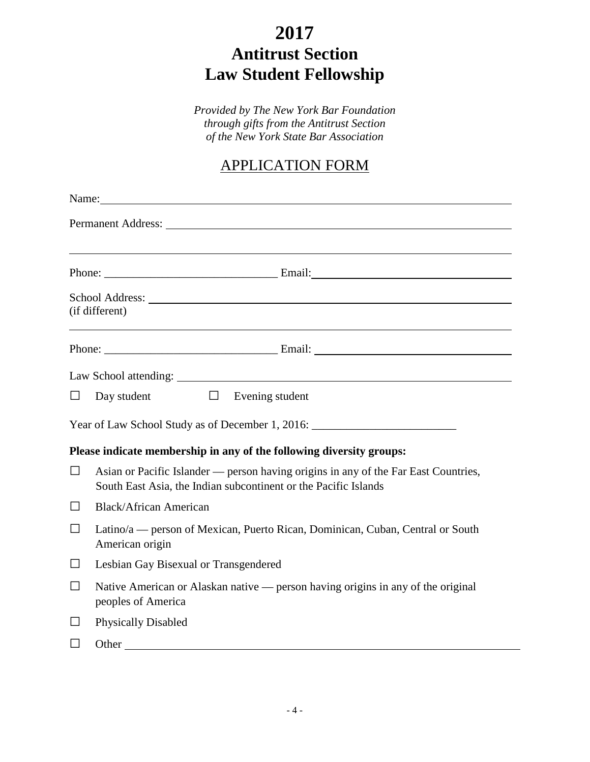# **2017 Antitrust Section Law Student Fellowship**

*Provided by The New York Bar Foundation through gifts from the Antitrust Section of the New York State Bar Association*

## APPLICATION FORM

|         | Name:                                                                                                                                                                                                                                            |  |  |  |  |
|---------|--------------------------------------------------------------------------------------------------------------------------------------------------------------------------------------------------------------------------------------------------|--|--|--|--|
|         | Permanent Address: The Second Second Second Second Second Second Second Second Second Second Second Second Second Second Second Second Second Second Second Second Second Second Second Second Second Second Second Second Sec                   |  |  |  |  |
|         |                                                                                                                                                                                                                                                  |  |  |  |  |
|         |                                                                                                                                                                                                                                                  |  |  |  |  |
|         | School Address: 2008 Contract and 2008 Contract and 2008 Contract and 2008 Contract and 2008 Contract and 2008 Contract and 2008 Contract and 2008 Contract and 2008 Contract and 2008 Contract and 2008 Contract and 2008 Con<br>(if different) |  |  |  |  |
|         |                                                                                                                                                                                                                                                  |  |  |  |  |
|         |                                                                                                                                                                                                                                                  |  |  |  |  |
| $\Box$  | Day student $\Box$ Evening student                                                                                                                                                                                                               |  |  |  |  |
|         | Year of Law School Study as of December 1, 2016: ________________________________                                                                                                                                                                |  |  |  |  |
|         | Please indicate membership in any of the following diversity groups:                                                                                                                                                                             |  |  |  |  |
| $\Box$  | Asian or Pacific Islander — person having origins in any of the Far East Countries,<br>South East Asia, the Indian subcontinent or the Pacific Islands                                                                                           |  |  |  |  |
| $\Box$  | <b>Black/African American</b>                                                                                                                                                                                                                    |  |  |  |  |
| $\Box$  | Latino/a — person of Mexican, Puerto Rican, Dominican, Cuban, Central or South<br>American origin                                                                                                                                                |  |  |  |  |
| $\perp$ | Lesbian Gay Bisexual or Transgendered                                                                                                                                                                                                            |  |  |  |  |
| $\Box$  | Native American or Alaskan native — person having origins in any of the original<br>peoples of America                                                                                                                                           |  |  |  |  |
| $\Box$  | <b>Physically Disabled</b>                                                                                                                                                                                                                       |  |  |  |  |
| $\perp$ |                                                                                                                                                                                                                                                  |  |  |  |  |
|         |                                                                                                                                                                                                                                                  |  |  |  |  |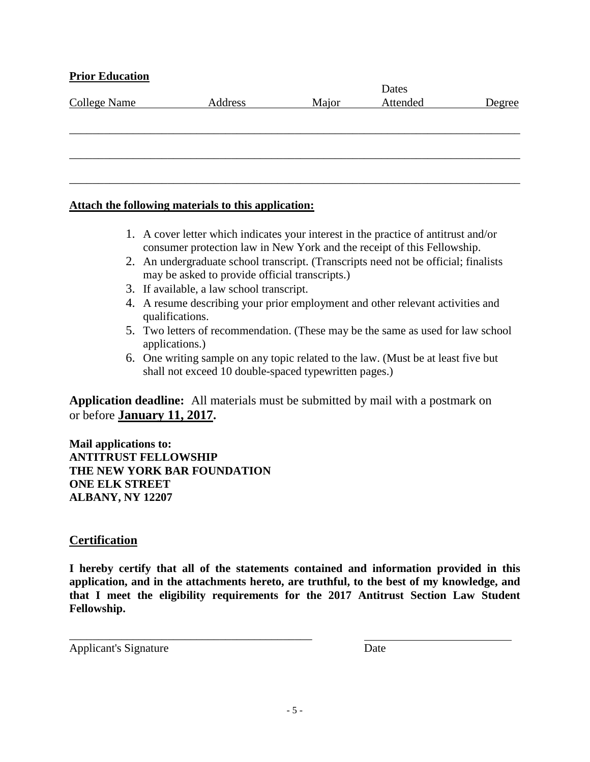#### **Prior Education**

| <b>College Name</b> | Address | Major | Attended | Degree |
|---------------------|---------|-------|----------|--------|
|                     |         |       |          |        |
|                     |         |       |          |        |
|                     |         |       |          |        |
|                     |         |       |          |        |
|                     |         |       |          |        |
|                     |         |       |          |        |

#### **Attach the following materials to this application:**

- 1. A cover letter which indicates your interest in the practice of antitrust and/or consumer protection law in New York and the receipt of this Fellowship.
- 2. An undergraduate school transcript. (Transcripts need not be official; finalists may be asked to provide official transcripts.)
- 3. If available, a law school transcript.
- 4. A resume describing your prior employment and other relevant activities and qualifications.
- 5. Two letters of recommendation. (These may be the same as used for law school applications.)
- 6. One writing sample on any topic related to the law. (Must be at least five but shall not exceed 10 double-spaced typewritten pages.)

**Application deadline:** All materials must be submitted by mail with a postmark on or before **January 11, 2017.**

**Mail applications to: ANTITRUST FELLOWSHIP THE NEW YORK BAR FOUNDATION ONE ELK STREET ALBANY, NY 12207**

\_\_\_\_\_\_\_\_\_\_\_\_\_\_\_\_\_\_\_\_\_\_\_\_\_\_\_\_\_\_\_\_\_\_\_\_\_\_\_\_\_\_

#### **Certification**

**I hereby certify that all of the statements contained and information provided in this application, and in the attachments hereto, are truthful, to the best of my knowledge, and that I meet the eligibility requirements for the 2017 Antitrust Section Law Student Fellowship.**

Applicant's Signature Date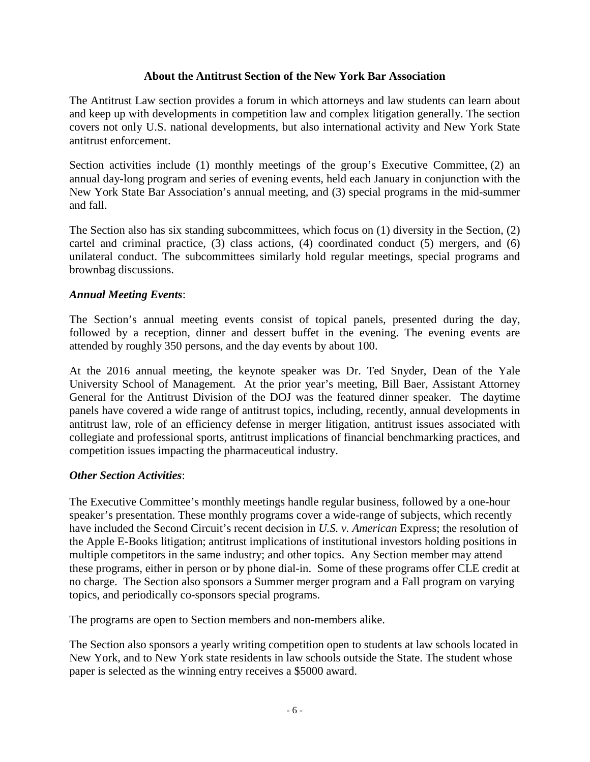#### **About the Antitrust Section of the New York Bar Association**

The Antitrust Law section provides a forum in which attorneys and law students can learn about and keep up with developments in competition law and complex litigation generally. The section covers not only U.S. national developments, but also international activity and New York State antitrust enforcement.

Section activities include (1) monthly meetings of the group's Executive Committee, (2) an annual day-long program and series of evening events, held each January in conjunction with the New York State Bar Association's annual meeting, and (3) special programs in the mid-summer and fall.

The Section also has six standing subcommittees, which focus on (1) diversity in the Section, (2) cartel and criminal practice, (3) class actions, (4) coordinated conduct (5) mergers, and (6) unilateral conduct. The subcommittees similarly hold regular meetings, special programs and brownbag discussions.

#### *Annual Meeting Events*:

The Section's annual meeting events consist of topical panels, presented during the day, followed by a reception, dinner and dessert buffet in the evening. The evening events are attended by roughly 350 persons, and the day events by about 100.

At the 2016 annual meeting, the keynote speaker was Dr. Ted Snyder, Dean of the Yale University School of Management. At the prior year's meeting, Bill Baer, Assistant Attorney General for the Antitrust Division of the DOJ was the featured dinner speaker. The daytime panels have covered a wide range of antitrust topics, including, recently, annual developments in antitrust law, role of an efficiency defense in merger litigation, antitrust issues associated with collegiate and professional sports, antitrust implications of financial benchmarking practices, and competition issues impacting the pharmaceutical industry.

#### *Other Section Activities*:

The Executive Committee's monthly meetings handle regular business, followed by a one-hour speaker's presentation. These monthly programs cover a wide-range of subjects, which recently have included the Second Circuit's recent decision in *U.S. v. American* Express; the resolution of the Apple E-Books litigation; antitrust implications of institutional investors holding positions in multiple competitors in the same industry; and other topics. Any Section member may attend these programs, either in person or by phone dial-in. Some of these programs offer CLE credit at no charge. The Section also sponsors a Summer merger program and a Fall program on varying topics, and periodically co-sponsors special programs.

The programs are open to Section members and non-members alike.

The Section also sponsors a yearly writing competition open to students at law schools located in New York, and to New York state residents in law schools outside the State. The student whose paper is selected as the winning entry receives a \$5000 award.